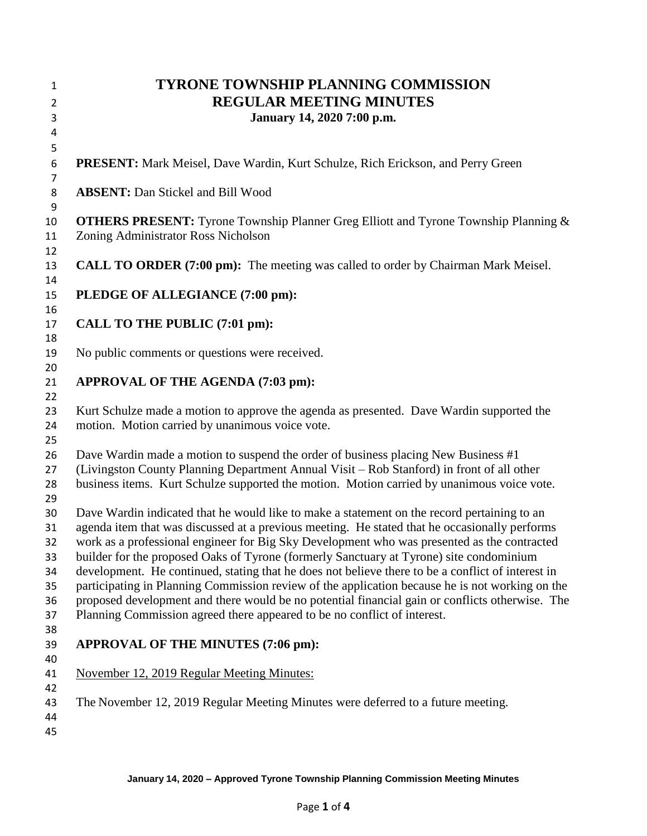| $\mathbf{1}$<br>$\overline{2}$<br>3                | <b>TYRONE TOWNSHIP PLANNING COMMISSION</b><br><b>REGULAR MEETING MINUTES</b><br>January 14, 2020 7:00 p.m.                                                                                                                                                                                                                                                                                                                                                                                                                                                                                                                                                                                                                                                                    |
|----------------------------------------------------|-------------------------------------------------------------------------------------------------------------------------------------------------------------------------------------------------------------------------------------------------------------------------------------------------------------------------------------------------------------------------------------------------------------------------------------------------------------------------------------------------------------------------------------------------------------------------------------------------------------------------------------------------------------------------------------------------------------------------------------------------------------------------------|
| 4<br>5                                             |                                                                                                                                                                                                                                                                                                                                                                                                                                                                                                                                                                                                                                                                                                                                                                               |
| 6<br>$\overline{7}$                                | <b>PRESENT:</b> Mark Meisel, Dave Wardin, Kurt Schulze, Rich Erickson, and Perry Green                                                                                                                                                                                                                                                                                                                                                                                                                                                                                                                                                                                                                                                                                        |
| 8<br>9                                             | <b>ABSENT:</b> Dan Stickel and Bill Wood                                                                                                                                                                                                                                                                                                                                                                                                                                                                                                                                                                                                                                                                                                                                      |
| 10<br>11<br>12                                     | <b>OTHERS PRESENT:</b> Tyrone Township Planner Greg Elliott and Tyrone Township Planning &<br>Zoning Administrator Ross Nicholson                                                                                                                                                                                                                                                                                                                                                                                                                                                                                                                                                                                                                                             |
| 13<br>14                                           | <b>CALL TO ORDER (7:00 pm):</b> The meeting was called to order by Chairman Mark Meisel.                                                                                                                                                                                                                                                                                                                                                                                                                                                                                                                                                                                                                                                                                      |
| 15<br>16                                           | PLEDGE OF ALLEGIANCE (7:00 pm):                                                                                                                                                                                                                                                                                                                                                                                                                                                                                                                                                                                                                                                                                                                                               |
| 17<br>18                                           | CALL TO THE PUBLIC (7:01 pm):                                                                                                                                                                                                                                                                                                                                                                                                                                                                                                                                                                                                                                                                                                                                                 |
| 19<br>20                                           | No public comments or questions were received.                                                                                                                                                                                                                                                                                                                                                                                                                                                                                                                                                                                                                                                                                                                                |
| 21<br>22                                           | APPROVAL OF THE AGENDA (7:03 pm):                                                                                                                                                                                                                                                                                                                                                                                                                                                                                                                                                                                                                                                                                                                                             |
| 23<br>24<br>25                                     | Kurt Schulze made a motion to approve the agenda as presented. Dave Wardin supported the<br>motion. Motion carried by unanimous voice vote.                                                                                                                                                                                                                                                                                                                                                                                                                                                                                                                                                                                                                                   |
| 26<br>27<br>28<br>29                               | Dave Wardin made a motion to suspend the order of business placing New Business #1<br>(Livingston County Planning Department Annual Visit - Rob Stanford) in front of all other<br>business items. Kurt Schulze supported the motion. Motion carried by unanimous voice vote.                                                                                                                                                                                                                                                                                                                                                                                                                                                                                                 |
| 30<br>31<br>32<br>33<br>34<br>35<br>36<br>37<br>38 | Dave Wardin indicated that he would like to make a statement on the record pertaining to an<br>agenda item that was discussed at a previous meeting. He stated that he occasionally performs<br>work as a professional engineer for Big Sky Development who was presented as the contracted<br>builder for the proposed Oaks of Tyrone (formerly Sanctuary at Tyrone) site condominium<br>development. He continued, stating that he does not believe there to be a conflict of interest in<br>participating in Planning Commission review of the application because he is not working on the<br>proposed development and there would be no potential financial gain or conflicts otherwise. The<br>Planning Commission agreed there appeared to be no conflict of interest. |
| 39<br>40                                           | APPROVAL OF THE MINUTES (7:06 pm):                                                                                                                                                                                                                                                                                                                                                                                                                                                                                                                                                                                                                                                                                                                                            |
| 41<br>42                                           | November 12, 2019 Regular Meeting Minutes:                                                                                                                                                                                                                                                                                                                                                                                                                                                                                                                                                                                                                                                                                                                                    |
| 43<br>44<br>45                                     | The November 12, 2019 Regular Meeting Minutes were deferred to a future meeting.                                                                                                                                                                                                                                                                                                                                                                                                                                                                                                                                                                                                                                                                                              |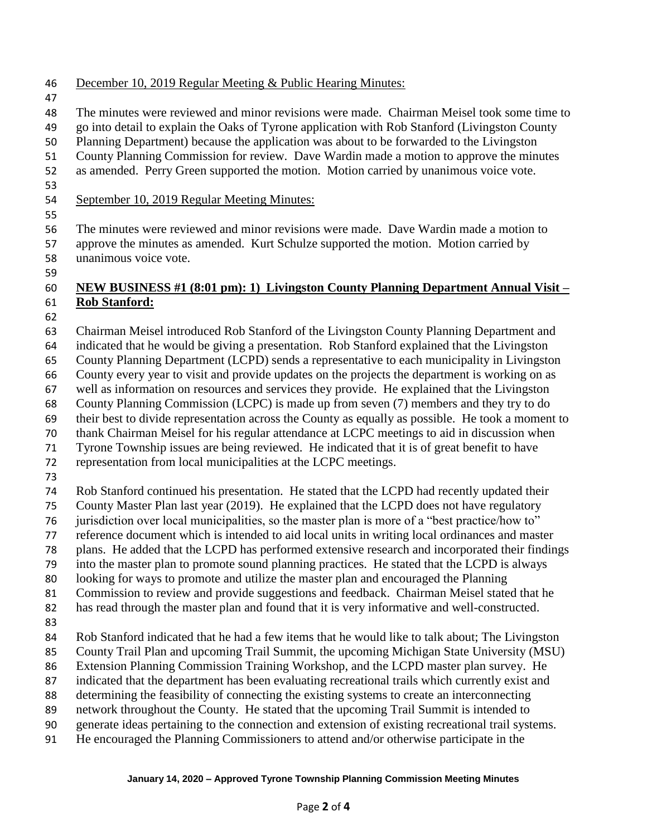- December 10, 2019 Regular Meeting & Public Hearing Minutes:
- 
- The minutes were reviewed and minor revisions were made. Chairman Meisel took some time to
- go into detail to explain the Oaks of Tyrone application with Rob Stanford (Livingston County
- Planning Department) because the application was about to be forwarded to the Livingston
- County Planning Commission for review. Dave Wardin made a motion to approve the minutes
- as amended. Perry Green supported the motion. Motion carried by unanimous voice vote.
- 

- September 10, 2019 Regular Meeting Minutes:
- The minutes were reviewed and minor revisions were made. Dave Wardin made a motion to approve the minutes as amended. Kurt Schulze supported the motion. Motion carried by unanimous voice vote.
- 

## **NEW BUSINESS #1 (8:01 pm): 1) Livingston County Planning Department Annual Visit – Rob Stanford:**

- 
- Chairman Meisel introduced Rob Stanford of the Livingston County Planning Department and indicated that he would be giving a presentation. Rob Stanford explained that the Livingston County Planning Department (LCPD) sends a representative to each municipality in Livingston County every year to visit and provide updates on the projects the department is working on as well as information on resources and services they provide. He explained that the Livingston County Planning Commission (LCPC) is made up from seven (7) members and they try to do their best to divide representation across the County as equally as possible. He took a moment to thank Chairman Meisel for his regular attendance at LCPC meetings to aid in discussion when Tyrone Township issues are being reviewed. He indicated that it is of great benefit to have representation from local municipalities at the LCPC meetings. Rob Stanford continued his presentation. He stated that the LCPD had recently updated their County Master Plan last year (2019). He explained that the LCPD does not have regulatory jurisdiction over local municipalities, so the master plan is more of a "best practice/how to" reference document which is intended to aid local units in writing local ordinances and master plans. He added that the LCPD has performed extensive research and incorporated their findings into the master plan to promote sound planning practices. He stated that the LCPD is always looking for ways to promote and utilize the master plan and encouraged the Planning Commission to review and provide suggestions and feedback. Chairman Meisel stated that he has read through the master plan and found that it is very informative and well-constructed. Rob Stanford indicated that he had a few items that he would like to talk about; The Livingston County Trail Plan and upcoming Trail Summit, the upcoming Michigan State University (MSU) Extension Planning Commission Training Workshop, and the LCPD master plan survey. He indicated that the department has been evaluating recreational trails which currently exist and determining the feasibility of connecting the existing systems to create an interconnecting network throughout the County. He stated that the upcoming Trail Summit is intended to generate ideas pertaining to the connection and extension of existing recreational trail systems. He encouraged the Planning Commissioners to attend and/or otherwise participate in the

## **January 14, 2020 – Approved Tyrone Township Planning Commission Meeting Minutes**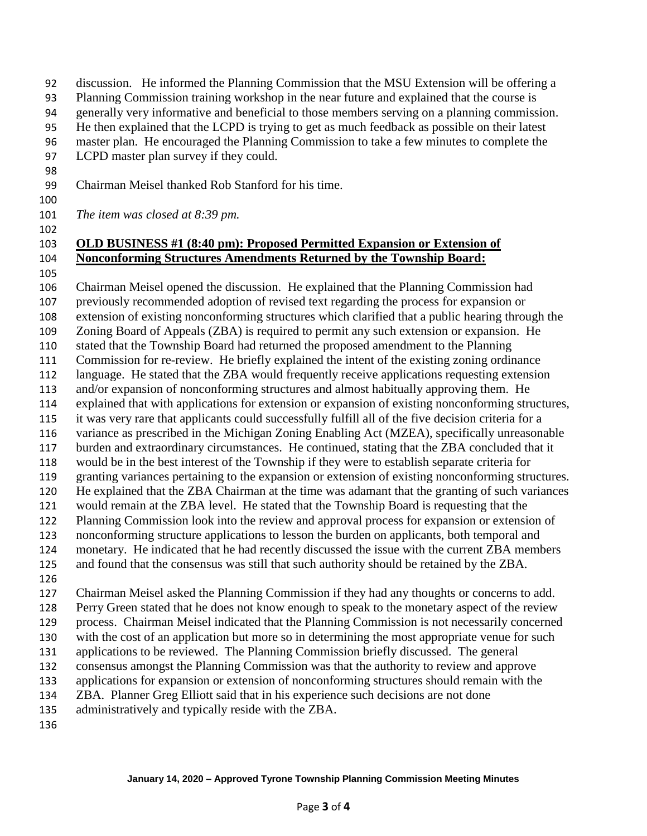- discussion. He informed the Planning Commission that the MSU Extension will be offering a
- Planning Commission training workshop in the near future and explained that the course is
- generally very informative and beneficial to those members serving on a planning commission.
- He then explained that the LCPD is trying to get as much feedback as possible on their latest
- master plan. He encouraged the Planning Commission to take a few minutes to complete the
- LCPD master plan survey if they could.
- Chairman Meisel thanked Rob Stanford for his time.
- 

*The item was closed at 8:39 pm.*

## **OLD BUSINESS #1 (8:40 pm): Proposed Permitted Expansion or Extension of Nonconforming Structures Amendments Returned by the Township Board:**

 Chairman Meisel opened the discussion. He explained that the Planning Commission had previously recommended adoption of revised text regarding the process for expansion or extension of existing nonconforming structures which clarified that a public hearing through the Zoning Board of Appeals (ZBA) is required to permit any such extension or expansion. He stated that the Township Board had returned the proposed amendment to the Planning Commission for re-review. He briefly explained the intent of the existing zoning ordinance language. He stated that the ZBA would frequently receive applications requesting extension and/or expansion of nonconforming structures and almost habitually approving them. He explained that with applications for extension or expansion of existing nonconforming structures, it was very rare that applicants could successfully fulfill all of the five decision criteria for a variance as prescribed in the Michigan Zoning Enabling Act (MZEA), specifically unreasonable burden and extraordinary circumstances. He continued, stating that the ZBA concluded that it would be in the best interest of the Township if they were to establish separate criteria for granting variances pertaining to the expansion or extension of existing nonconforming structures. He explained that the ZBA Chairman at the time was adamant that the granting of such variances would remain at the ZBA level. He stated that the Township Board is requesting that the Planning Commission look into the review and approval process for expansion or extension of nonconforming structure applications to lesson the burden on applicants, both temporal and monetary. He indicated that he had recently discussed the issue with the current ZBA members and found that the consensus was still that such authority should be retained by the ZBA. Chairman Meisel asked the Planning Commission if they had any thoughts or concerns to add. Perry Green stated that he does not know enough to speak to the monetary aspect of the review process. Chairman Meisel indicated that the Planning Commission is not necessarily concerned with the cost of an application but more so in determining the most appropriate venue for such applications to be reviewed. The Planning Commission briefly discussed. The general consensus amongst the Planning Commission was that the authority to review and approve applications for expansion or extension of nonconforming structures should remain with the ZBA. Planner Greg Elliott said that in his experience such decisions are not done administratively and typically reside with the ZBA.